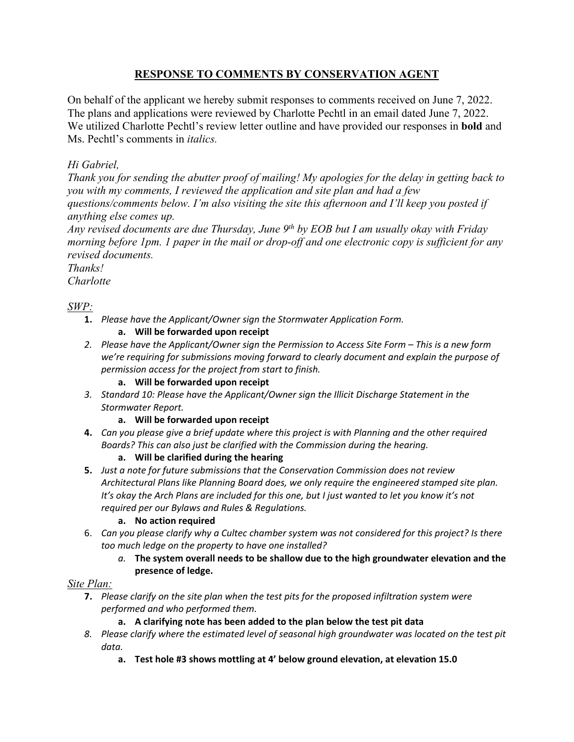## **RESPONSE TO COMMENTS BY CONSERVATION AGENT**

On behalf of the applicant we hereby submit responses to comments received on June 7, 2022. The plans and applications were reviewed by Charlotte Pechtl in an email dated June 7, 2022. We utilized Charlotte Pechtl's review letter outline and have provided our responses in **bold** and Ms. Pechtl's comments in *italics.*

# *Hi Gabriel,*

*Thank you for sending the abutter proof of mailing! My apologies for the delay in getting back to you with my comments, I reviewed the application and site plan and had a few questions/comments below. I'm also visiting the site this afternoon and I'll keep you posted if anything else comes up.* 

*Any revised documents are due Thursday, June 9th by EOB but I am usually okay with Friday morning before 1pm. 1 paper in the mail or drop-off and one electronic copy is sufficient for any revised documents.* 

*Thanks! Charlotte* 

## *SWP:*

**1.** *Please have the Applicant/Owner sign the Stormwater Application Form.*

## **a. Will be forwarded upon receipt**

*2. Please have the Applicant/Owner sign the Permission to Access Site Form – This is a new form we're requiring for submissions moving forward to clearly document and explain the purpose of permission access for the project from start to finish.* 

## **a. Will be forwarded upon receipt**

*3. Standard 10: Please have the Applicant/Owner sign the Illicit Discharge Statement in the Stormwater Report.* 

### **a. Will be forwarded upon receipt**

**4.** *Can you please give a brief update where this project is with Planning and the other required Boards? This can also just be clarified with the Commission during the hearing.*

### **a. Will be clarified during the hearing**

**5.** *Just a note for future submissions that the Conservation Commission does not review Architectural Plans like Planning Board does, we only require the engineered stamped site plan.* It's okay the Arch Plans are included for this one, but I just wanted to let you know it's not *required per our Bylaws and Rules & Regulations.*

### **a. No action required**

- 6. *Can you please clarify why a Cultec chamber system was not considered for this project? Is there too much ledge on the property to have one installed?*
	- *a.* **The system overall needs to be shallow due to the high groundwater elevation and the presence of ledge.**

## *Site Plan:*

**7.** *Please clarify on the site plan when the test pits for the proposed infiltration system were performed and who performed them.*

## **a. A clarifying note has been added to the plan below the test pit data**

- *8. Please clarify where the estimated level of seasonal high groundwater was located on the test pit data.* 
	- **a. Test hole #3 shows mottling at 4' below ground elevation, at elevation 15.0**